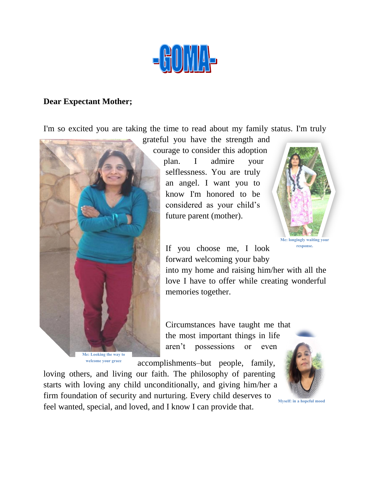

## **Dear Expectant Mother;**

I'm so excited you are taking the time to read about my family status. I'm truly



grateful you have the strength and courage to consider this adoption plan. I admire your selflessness. You are truly an angel. I want you to know I'm honored to be considered as your child's future parent (mother).



If you choose me, I look forward welcoming your baby

into my home and raising him/her with all the love I have to offer while creating wonderful memories together.

Circumstances have taught me that the most important things in life aren't possessions or even

accomplishments–but people, family,

loving others, and living our faith. The philosophy of parenting starts with loving any child unconditionally, and giving him/her a firm foundation of security and nurturing. Every child deserves to feel wanted, special, and loved, and I know I can provide that.



**Myself: in a hopeful mood**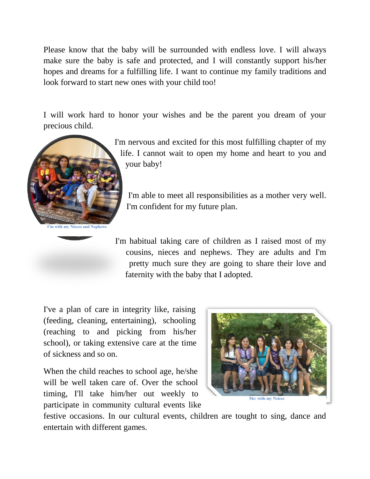Please know that the baby will be surrounded with endless love. I will always make sure the baby is safe and protected, and I will constantly support his/her hopes and dreams for a fulfilling life. I want to continue my family traditions and look forward to start new ones with your child too!

I will work hard to honor your wishes and be the parent you dream of your precious child.



I'm nervous and excited for this most fulfilling chapter of my life. I cannot wait to open my home and heart to you and your baby!

I'm able to meet all responsibilities as a mother very well. I'm confident for my future plan.

I'm habitual taking care of children as I raised most of my cousins, nieces and nephews. They are adults and I'm pretty much sure they are going to share their love and faternity with the baby that I adopted.

I've a plan of care in integrity like, raising (feeding, cleaning, entertaining), schooling (reaching to and picking from his/her school), or taking extensive care at the time of sickness and so on.

When the child reaches to school age, he/she will be well taken care of. Over the school timing, I'll take him/her out weekly to participate in community cultural events like



festive occasions. In our cultural events, children are tought to sing, dance and entertain with different games.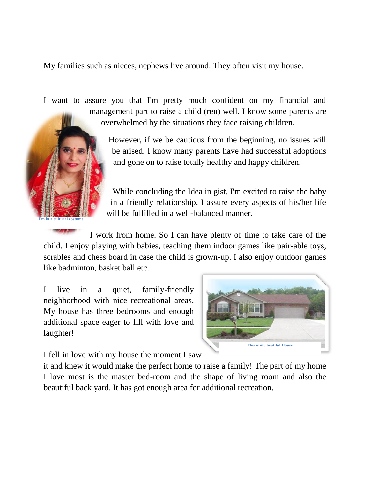My families such as nieces, nephews live around. They often visit my house.

I want to assure you that I'm pretty much confident on my financial and management part to raise a child (ren) well. I know some parents are overwhelmed by the situations they face raising children.

> However, if we be cautious from the beginning, no issues will be arised. I know many parents have had successful adoptions and gone on to raise totally healthy and happy children.

> While concluding the Idea in gist, I'm excited to raise the baby in a friendly relationship. I assure every aspects of his/her life will be fulfilled in a well-balanced manner.

I work from home. So I can have plenty of time to take care of the child. I enjoy playing with babies, teaching them indoor games like pair-able toys, scrables and chess board in case the child is grown-up. I also enjoy outdoor games like badminton, basket ball etc.

I live in a quiet, family-friendly neighborhood with nice recreational areas. My house has three bedrooms and enough additional space eager to fill with love and laughter!

**I'm in a cultural costume**



I fell in love with my house the moment I saw

it and knew it would make the perfect home to raise a family! The part of my home I love most is the master bed-room and the shape of living room and also the beautiful back yard. It has got enough area for additional recreation.